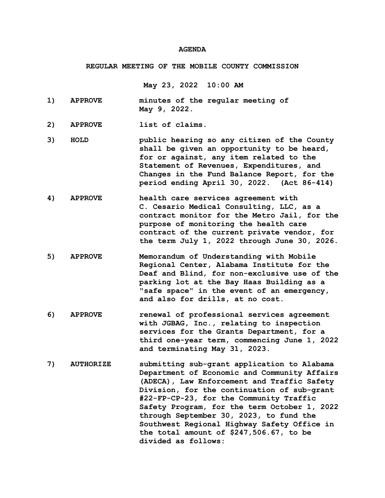## **AGENDA**

## **REGULAR MEETING OF THE MOBILE COUNTY COMMISSION**

**May 23, 2022 10:00 AM**

- **1) APPROVE minutes of the regular meeting of May 9, 2022.**
- **2) APPROVE list of claims.**
- **3) HOLD public hearing so any citizen of the County shall be given an opportunity to be heard, for or against, any item related to the Statement of Revenues, Expenditures, and Changes in the Fund Balance Report, for the period ending April 30, 2022. (Act 86-414)**
- **4) APPROVE health care services agreement with C. Cesario Medical Consulting, LLC, as a contract monitor for the Metro Jail, for the purpose of monitoring the health care contract of the current private vendor, for the term July 1, 2022 through June 30, 2026.**
- **5) APPROVE Memorandum of Understanding with Mobile Regional Center, Alabama Institute for the Deaf and Blind, for non-exclusive use of the parking lot at the Bay Haas Building as a "safe space" in the event of an emergency, and also for drills, at no cost.**
- **6) APPROVE renewal of professional services agreement with JGBAG, Inc., relating to inspection services for the Grants Department, for a third one-year term, commencing June 1, 2022 and terminating May 31, 2023.**
- **7) AUTHORIZE submitting sub-grant application to Alabama Department of Economic and Community Affairs (ADECA), Law Enforcement and Traffic Safety Division, for the continuation of sub-grant #22-FP-CP-23, for the Community Traffic Safety Program, for the term October 1, 2022 through September 30, 2023, to fund the Southwest Regional Highway Safety Office in the total amount of \$247,506.67, to be divided as follows:**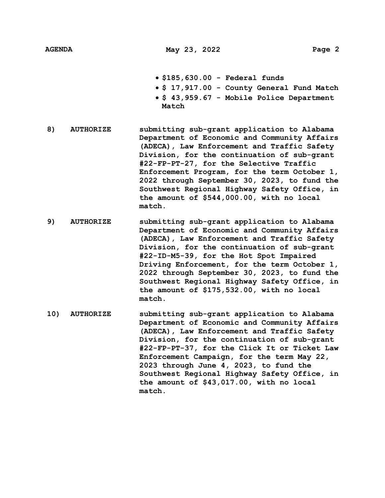- **\$185,630.00 Federal funds**
- **\$ 17,917.00 County General Fund Match**
- **\$ 43,959.67 Mobile Police Department Match**
- **8) AUTHORIZE submitting sub-grant application to Alabama Department of Economic and Community Affairs (ADECA), Law Enforcement and Traffic Safety Division, for the continuation of sub-grant #22-FP-PT-27, for the Selective Traffic Enforcement Program, for the term October 1, 2022 through September 30, 2023, to fund the Southwest Regional Highway Safety Office, in the amount of \$544,000.00, with no local match.**
- **9) AUTHORIZE submitting sub-grant application to Alabama Department of Economic and Community Affairs (ADECA), Law Enforcement and Traffic Safety Division, for the continuation of sub-grant #22-ID-M5-39, for the Hot Spot Impaired Driving Enforcement, for the term October 1, 2022 through September 30, 2023, to fund the Southwest Regional Highway Safety Office, in the amount of \$175,532.00, with no local match.**
- **10) AUTHORIZE submitting sub-grant application to Alabama Department of Economic and Community Affairs (ADECA), Law Enforcement and Traffic Safety Division, for the continuation of sub-grant #22-FP-PT-37, for the Click It or Ticket Law Enforcement Campaign, for the term May 22, 2023 through June 4, 2023, to fund the Southwest Regional Highway Safety Office, in the amount of \$43,017.00, with no local match.**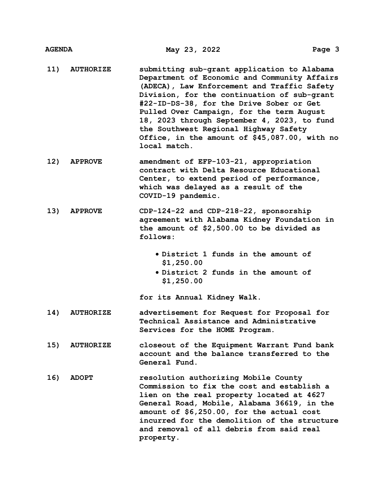- **11) AUTHORIZE submitting sub-grant application to Alabama Department of Economic and Community Affairs (ADECA), Law Enforcement and Traffic Safety Division, for the continuation of sub-grant #22-ID-DS-38, for the Drive Sober or Get Pulled Over Campaign, for the term August 18, 2023 through September 4, 2023, to fund the Southwest Regional Highway Safety Office, in the amount of \$45,087.00, with no local match.**
- **12) APPROVE amendment of EFP-103-21, appropriation contract with Delta Resource Educational Center, to extend period of performance, which was delayed as a result of the COVID-19 pandemic.**
- **13) APPROVE CDP-124-22 and CDP-218-22, sponsorship agreement with Alabama Kidney Foundation in the amount of \$2,500.00 to be divided as follows:**
	- **District 1 funds in the amount of \$1,250.00**
	- **District 2 funds in the amount of \$1,250.00**

**for its Annual Kidney Walk.**

- **14) AUTHORIZE advertisement for Request for Proposal for Technical Assistance and Administrative Services for the HOME Program.**
- **15) AUTHORIZE closeout of the Equipment Warrant Fund bank account and the balance transferred to the General Fund.**
- **16) ADOPT resolution authorizing Mobile County Commission to fix the cost and establish a lien on the real property located at 4627 General Road, Mobile, Alabama 36619, in the amount of \$6,250.00, for the actual cost incurred for the demolition of the structure and removal of all debris from said real property.**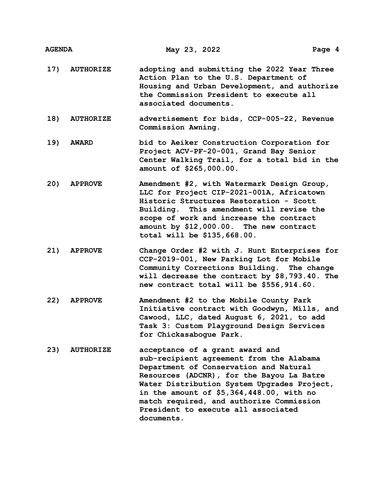| AGENDA |  |
|--------|--|
|        |  |

- **17) AUTHORIZE adopting and submitting the 2022 Year Three Action Plan to the U.S. Department of Housing and Urban Development, and authorize the Commission President to execute all associated documents.**
- **18) AUTHORIZE advertisement for bids, CCP-005-22, Revenue Commission Awning.**
- **19) AWARD bid to Aeiker Construction Corporation for Project ACV-PF-20-001, Grand Bay Senior Center Walking Trail, for a total bid in the amount of \$265,000.00.**
- **20) APPROVE Amendment #2, with Watermark Design Group, LLC for Project CIP-2021-001A, Africatown Historic Structures Restoration - Scott Building. This amendment will revise the scope of work and increase the contract amount by \$12,000.00. The new contract total will be \$135,668.00.**
- **21) APPROVE Change Order #2 with J. Hunt Enterprises for CCP-2019-001, New Parking Lot for Mobile Community Corrections Building. The change will decrease the contract by \$8,793.40. The new contract total will be \$556,914.60.**
- **22) APPROVE Amendment #2 to the Mobile County Park Initiative contract with Goodwyn, Mills, and Cawood, LLC, dated August 6, 2021, to add Task 3: Custom Playground Design Services for Chickasabogue Park.**
- **23) AUTHORIZE acceptance of a grant award and sub-recipient agreement from the Alabama Department of Conservation and Natural Resources (ADCNR), for the Bayou La Batre Water Distribution System Upgrades Project, in the amount of \$5,364,448.00, with no match required, and authorize Commission President to execute all associated documents.**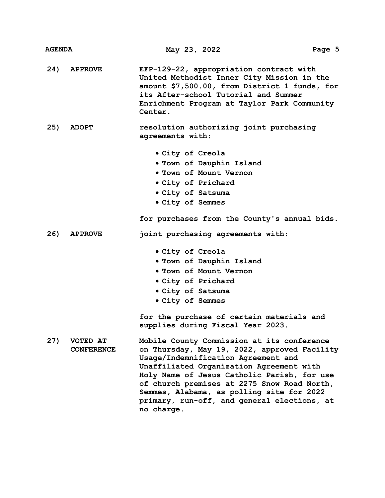| <b>AGENDA</b> |                               | May 23, 2022                                                                                                                                                                                                                                                                                                                                                                          | Page 5 |
|---------------|-------------------------------|---------------------------------------------------------------------------------------------------------------------------------------------------------------------------------------------------------------------------------------------------------------------------------------------------------------------------------------------------------------------------------------|--------|
| 24)           | <b>APPROVE</b>                | EFP-129-22, appropriation contract with<br>United Methodist Inner City Mission in the<br>amount \$7,500.00, from District 1 funds, for<br>its After-school Tutorial and Summer<br>Enrichment Program at Taylor Park Community<br>Center.                                                                                                                                              |        |
| 25)           | <b>ADOPT</b>                  | resolution authorizing joint purchasing<br>agreements with:                                                                                                                                                                                                                                                                                                                           |        |
|               |                               | • City of Creola<br>. Town of Dauphin Island<br>. Town of Mount Vernon<br>. City of Prichard<br>. City of Satsuma<br>• City of Semmes                                                                                                                                                                                                                                                 |        |
| 26)           | <b>APPROVE</b>                | for purchases from the County's annual bids.<br>joint purchasing agreements with:                                                                                                                                                                                                                                                                                                     |        |
|               |                               | • City of Creola<br>. Town of Dauphin Island<br><b>. Town of Mount Vernon</b><br>• City of Prichard<br>. City of Satsuma<br>• City of Semmes                                                                                                                                                                                                                                          |        |
|               |                               | for the purchase of certain materials and<br>supplies during Fiscal Year 2023.                                                                                                                                                                                                                                                                                                        |        |
| 27)           | VOTED AT<br><b>CONFERENCE</b> | Mobile County Commission at its conference<br>on Thursday, May 19, 2022, approved Facility<br>Usage/Indemnification Agreement and<br>Unaffiliated Organization Agreement with<br>Holy Name of Jesus Catholic Parish, for use<br>of church premises at 2275 Snow Road North,<br>Semmes, Alabama, as polling site for 2022<br>primary, run-off, and general elections, at<br>no charge. |        |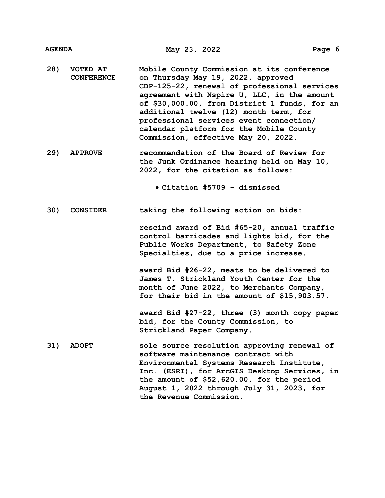- **28) VOTED AT CONFERENCE Mobile County Commission at its conference on Thursday May 19, 2022, approved CDP-125-22, renewal of professional services agreement with Nspire U, LLC, in the amount of \$30,000.00, from District 1 funds, for an additional twelve (12) month term, for professional services event connection/ calendar platform for the Mobile County Commission, effective May 20, 2022.**
- **29) APPROVE recommendation of the Board of Review for the Junk Ordinance hearing held on May 10, 2022, for the citation as follows:**

**Citation #5709 - dismissed**

**30) CONSIDER taking the following action on bids:**

**rescind award of Bid #65-20, annual traffic control barricades and lights bid, for the Public Works Department, to Safety Zone Specialties, due to a price increase.**

**award Bid #26-22, meats to be delivered to James T. Strickland Youth Center for the month of June 2022, to Merchants Company, for their bid in the amount of \$15,903.57.**

**award Bid #27-22, three (3) month copy paper bid, for the County Commission, to Strickland Paper Company.**

**31) ADOPT sole source resolution approving renewal of software maintenance contract with Environmental Systems Research Institute, Inc. (ESRI), for ArcGIS Desktop Services, in the amount of \$52,620.00, for the period August 1, 2022 through July 31, 2023, for the Revenue Commission.**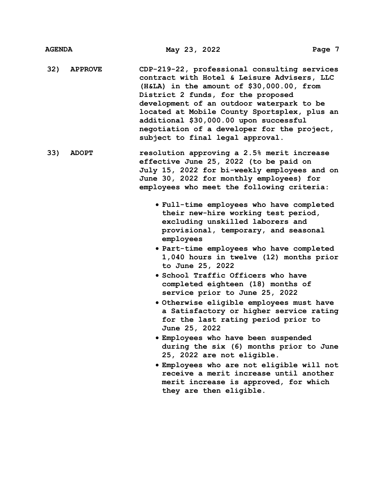- **32) APPROVE CDP-219-22, professional consulting services contract with Hotel & Leisure Advisers, LLC (H&LA) in the amount of \$30,000.00, from District 2 funds, for the proposed development of an outdoor waterpark to be located at Mobile County Sportsplex, plus an additional \$30,000.00 upon successful negotiation of a developer for the project, subject to final legal approval.**
- **33) ADOPT resolution approving a 2.5% merit increase effective June 25, 2022 (to be paid on July 15, 2022 for bi-weekly employees and on June 30, 2022 for monthly employees) for employees who meet the following criteria:**
	- **Full-time employees who have completed their new-hire working test period, excluding unskilled laborers and provisional, temporary, and seasonal employees**
	- **Part-time employees who have completed 1,040 hours in twelve (12) months prior to June 25, 2022**
	- **School Traffic Officers who have completed eighteen (18) months of service prior to June 25, 2022**
	- **Otherwise eligible employees must have a Satisfactory or higher service rating for the last rating period prior to June 25, 2022**
	- **Employees who have been suspended during the six (6) months prior to June 25, 2022 are not eligible.**
	- **Employees who are not eligible will not receive a merit increase until another merit increase is approved, for which they are then eligible.**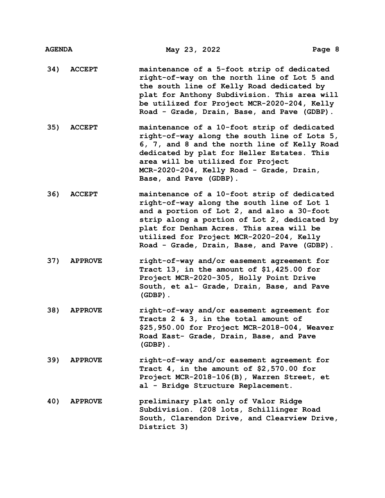| <b>AGENDA</b> |                | May 23, 2022                                                                                                                                                                                                                                                                                                                   | Page 8 |
|---------------|----------------|--------------------------------------------------------------------------------------------------------------------------------------------------------------------------------------------------------------------------------------------------------------------------------------------------------------------------------|--------|
| 34)           | <b>ACCEPT</b>  | maintenance of a 5-foot strip of dedicated<br>right-of-way on the north line of Lot 5 and<br>the south line of Kelly Road dedicated by<br>plat for Anthony Subdivision. This area will<br>be utilized for Project MCR-2020-204, Kelly<br>Road - Grade, Drain, Base, and Pave (GDBP).                                           |        |
| 35)           | <b>ACCEPT</b>  | maintenance of a 10-foot strip of dedicated<br>right-of-way along the south line of Lots 5,<br>6, 7, and 8 and the north line of Kelly Road<br>dedicated by plat for Heller Estates. This<br>area will be utilized for Project<br>MCR-2020-204, Kelly Road - Grade, Drain,<br>Base, and Pave (GDBP).                           |        |
| 36)           | <b>ACCEPT</b>  | maintenance of a 10-foot strip of dedicated<br>right-of-way along the south line of Lot 1<br>and a portion of Lot 2, and also a 30-foot<br>strip along a portion of Lot 2, dedicated by<br>plat for Denham Acres. This area will be<br>utilized for Project MCR-2020-204, Kelly<br>Road - Grade, Drain, Base, and Pave (GDBP). |        |
| 37)           | <b>APPROVE</b> | right-of-way and/or easement agreement for<br>Tract 13, in the amount of $$1,425.00$ for<br>Project MCR-2020-305, Holly Point Drive<br>South, et al- Grade, Drain, Base, and Pave<br>$(GDBP)$ .                                                                                                                                |        |
| 38)           | <b>APPROVE</b> | right-of-way and/or easement agreement for<br>Tracts 2 & 3, in the total amount of<br>\$25,950.00 for Project MCR-2018-004, Weaver<br>Road East- Grade, Drain, Base, and Pave<br>$(GDBP)$ .                                                                                                                                    |        |
| 39)           | <b>APPROVE</b> | right-of-way and/or easement agreement for<br>Tract 4, in the amount of $$2,570.00$ for<br>Project MCR-2018-106(B), Warren Street, et<br>al - Bridge Structure Replacement.                                                                                                                                                    |        |
| 40)           | <b>APPROVE</b> | preliminary plat only of Valor Ridge<br>Subdivision. (208 lots, Schillinger Road<br>South, Clarendon Drive, and Clearview Drive,<br>District 3)                                                                                                                                                                                |        |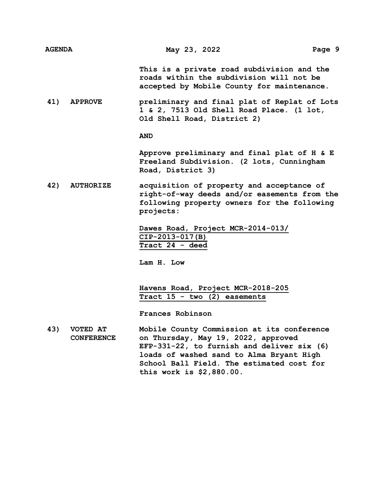| <b>AGENDA</b> |                | May 23, 2022                                                                                                                           | Page 9 |
|---------------|----------------|----------------------------------------------------------------------------------------------------------------------------------------|--------|
|               |                | This is a private road subdivision and the<br>roads within the subdivision will not be<br>accepted by Mobile County for maintenance.   |        |
| 41)           | <b>APPROVE</b> | preliminary and final plat of Replat of Lots<br>1 & 2, 7513 Old Shell Road Place. (1 lot,<br>Old Shell Road, District 2)<br><b>AND</b> |        |
|               |                | Approve preliminary and final plat of $H$ & $E$                                                                                        |        |

**Approve preliminary and final plat of H & E Freeland Subdivision. (2 lots, Cunningham Road, District 3)**

**42) AUTHORIZE acquisition of property and acceptance of right-of-way deeds and/or easements from the following property owners for the following projects:**

> **Dawes Road, Project MCR-2014-013/ CIP-2013-017(B) Tract 24 - deed**

**Lam H. Low**

**Havens Road, Project MCR-2018-205 Tract 15 - two (2) easements**

**Frances Robinson**

**43) VOTED AT CONFERENCE Mobile County Commission at its conference on Thursday, May 19, 2022, approved EFP-331-22, to furnish and deliver six (6) loads of washed sand to Alma Bryant High School Ball Field. The estimated cost for this work is \$2,880.00.**